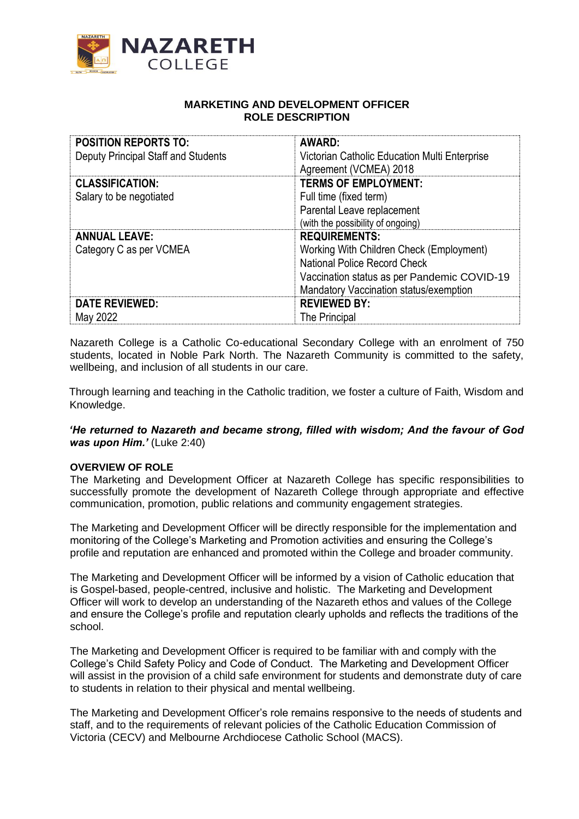

## **MARKETING AND DEVELOPMENT OFFICER ROLE DESCRIPTION**

| <b>POSITION REPORTS TO:</b><br>Deputy Principal Staff and Students | <b>AWARD:</b><br>Victorian Catholic Education Multi Enterprise<br>Agreement (VCMEA) 2018                                                                                                  |
|--------------------------------------------------------------------|-------------------------------------------------------------------------------------------------------------------------------------------------------------------------------------------|
| <b>CLASSIFICATION:</b><br>Salary to be negotiated                  | <b>TERMS OF EMPLOYMENT:</b><br>Full time (fixed term)<br>Parental Leave replacement<br>(with the possibility of ongoing)                                                                  |
| <b>ANNUAL LEAVE:</b><br>Category C as per VCMEA                    | <b>REQUIREMENTS:</b><br>Working With Children Check (Employment)<br>National Police Record Check<br>Vaccination status as per Pandemic COVID-19<br>Mandatory Vaccination status/exemption |
| <b>DATE REVIEWED:</b><br>May 2022                                  | <b>REVIEWED BY:</b><br>The Principal                                                                                                                                                      |

Nazareth College is a Catholic Co-educational Secondary College with an enrolment of 750 students, located in Noble Park North. The Nazareth Community is committed to the safety, wellbeing, and inclusion of all students in our care.

Through learning and teaching in the Catholic tradition, we foster a culture of Faith, Wisdom and Knowledge.

*'He returned to Nazareth and became strong, filled with wisdom; And the favour of God was upon Him.'* (Luke 2:40)

#### **OVERVIEW OF ROLE**

The Marketing and Development Officer at Nazareth College has specific responsibilities to successfully promote the development of Nazareth College through appropriate and effective communication, promotion, public relations and community engagement strategies.

The Marketing and Development Officer will be directly responsible for the implementation and monitoring of the College's Marketing and Promotion activities and ensuring the College's profile and reputation are enhanced and promoted within the College and broader community.

The Marketing and Development Officer will be informed by a vision of Catholic education that is Gospel-based, people-centred, inclusive and holistic. The Marketing and Development Officer will work to develop an understanding of the Nazareth ethos and values of the College and ensure the College's profile and reputation clearly upholds and reflects the traditions of the school.

The Marketing and Development Officer is required to be familiar with and comply with the College's Child Safety Policy and Code of Conduct. The Marketing and Development Officer will assist in the provision of a child safe environment for students and demonstrate duty of care to students in relation to their physical and mental wellbeing.

The Marketing and Development Officer's role remains responsive to the needs of students and staff, and to the requirements of relevant policies of the Catholic Education Commission of Victoria (CECV) and Melbourne Archdiocese Catholic School (MACS).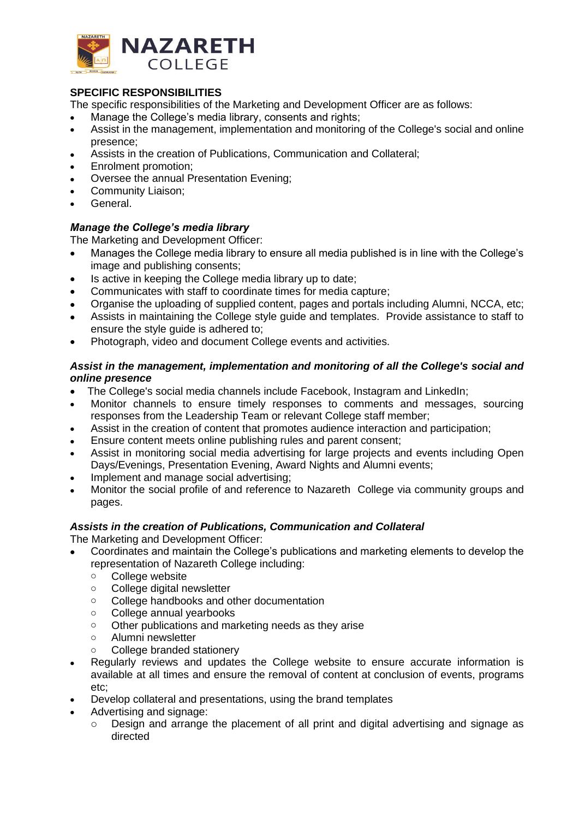

## **SPECIFIC RESPONSIBILITIES**

The specific responsibilities of the Marketing and Development Officer are as follows:

- Manage the College's media library, consents and rights;
- Assist in the management, implementation and monitoring of the College's social and online presence;
- Assists in the creation of Publications, Communication and Collateral;
- Enrolment promotion;
- Oversee the annual Presentation Evening;
- Community Liaison;
- General.

## *Manage the College's media library*

The Marketing and Development Officer:

- Manages the College media library to ensure all media published is in line with the College's image and publishing consents;
- Is active in keeping the College media library up to date;
- Communicates with staff to coordinate times for media capture;
- Organise the uploading of supplied content, pages and portals including Alumni, NCCA, etc;
- Assists in maintaining the College style guide and templates. Provide assistance to staff to ensure the style guide is adhered to;
- Photograph, video and document College events and activities.

## *Assist in the management, implementation and monitoring of all the College's social and online presence*

- The College's social media channels include Facebook, Instagram and LinkedIn;
- Monitor channels to ensure timely responses to comments and messages, sourcing responses from the Leadership Team or relevant College staff member;
- Assist in the creation of content that promotes audience interaction and participation;
- Ensure content meets online publishing rules and parent consent;
- Assist in monitoring social media advertising for large projects and events including Open Days/Evenings, Presentation Evening, Award Nights and Alumni events;
- Implement and manage social advertising:
- Monitor the social profile of and reference to Nazareth College via community groups and pages.

## *Assists in the creation of Publications, Communication and Collateral*

The Marketing and Development Officer:

- Coordinates and maintain the College's publications and marketing elements to develop the representation of Nazareth College including:
	- o College website
	- o College digital newsletter
	- o College handbooks and other documentation
	- o College annual yearbooks
	- o Other publications and marketing needs as they arise
	- o Alumni newsletter
		- College branded stationery
- Regularly reviews and updates the College website to ensure accurate information is available at all times and ensure the removal of content at conclusion of events, programs etc;
- Develop collateral and presentations, using the brand templates
- Advertising and signage:
	- o Design and arrange the placement of all print and digital advertising and signage as directed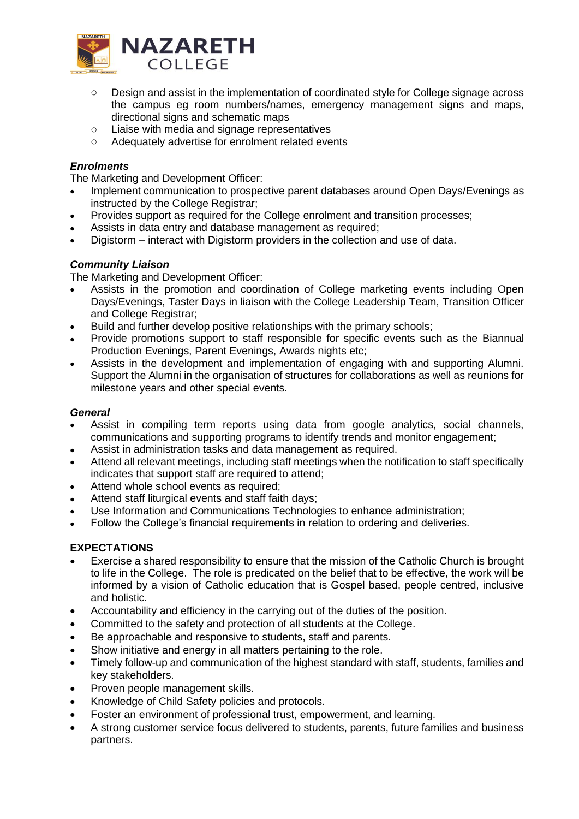

- o Design and assist in the implementation of coordinated style for College signage across the campus eg room numbers/names, emergency management signs and maps, directional signs and schematic maps
- o Liaise with media and signage representatives
- o Adequately advertise for enrolment related events

## *Enrolments*

The Marketing and Development Officer:

- Implement communication to prospective parent databases around Open Days/Evenings as instructed by the College Registrar;
- Provides support as required for the College enrolment and transition processes;
- Assists in data entry and database management as required;
- Digistorm interact with Digistorm providers in the collection and use of data.

# *Community Liaison*

The Marketing and Development Officer:

- Assists in the promotion and coordination of College marketing events including Open Days/Evenings, Taster Days in liaison with the College Leadership Team, Transition Officer and College Registrar;
- Build and further develop positive relationships with the primary schools;
- Provide promotions support to staff responsible for specific events such as the Biannual Production Evenings, Parent Evenings, Awards nights etc;
- Assists in the development and implementation of engaging with and supporting Alumni. Support the Alumni in the organisation of structures for collaborations as well as reunions for milestone years and other special events.

## *General*

- Assist in compiling term reports using data from google analytics, social channels, communications and supporting programs to identify trends and monitor engagement;
- Assist in administration tasks and data management as required.
- Attend all relevant meetings, including staff meetings when the notification to staff specifically indicates that support staff are required to attend;
- Attend whole school events as required:
- Attend staff liturgical events and staff faith days;
- Use Information and Communications Technologies to enhance administration;
- Follow the College's financial requirements in relation to ordering and deliveries.

## **EXPECTATIONS**

- Exercise a shared responsibility to ensure that the mission of the Catholic Church is brought to life in the College. The role is predicated on the belief that to be effective, the work will be informed by a vision of Catholic education that is Gospel based, people centred, inclusive and holistic.
- Accountability and efficiency in the carrying out of the duties of the position.
- Committed to the safety and protection of all students at the College.
- Be approachable and responsive to students, staff and parents.
- Show initiative and energy in all matters pertaining to the role.
- Timely follow-up and communication of the highest standard with staff, students, families and key stakeholders.
- Proven people management skills.
- Knowledge of Child Safety policies and protocols.
- Foster an environment of professional trust, empowerment, and learning.
- A strong customer service focus delivered to students, parents, future families and business partners.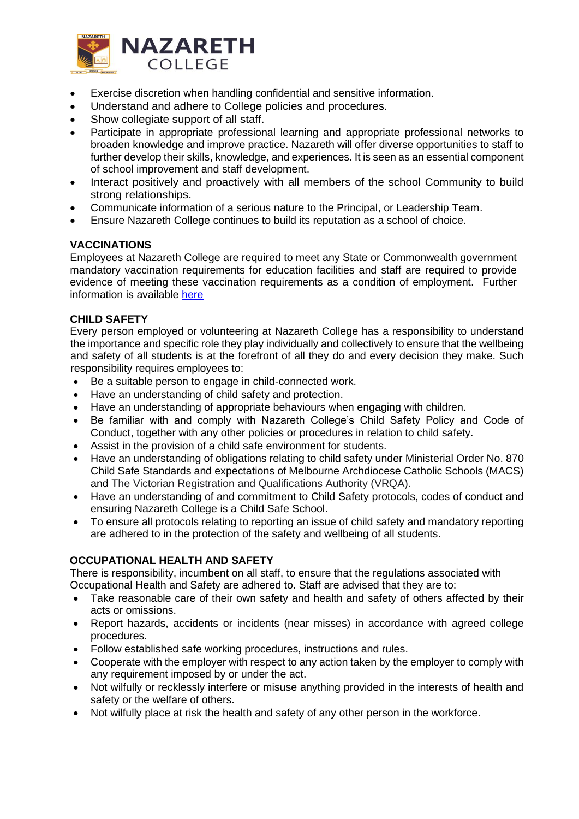

- Exercise discretion when handling confidential and sensitive information.
- Understand and adhere to College policies and procedures.
- Show collegiate support of all staff.
- Participate in appropriate professional learning and appropriate professional networks to broaden knowledge and improve practice. Nazareth will offer diverse opportunities to staff to further develop their skills, knowledge, and experiences. It is seen as an essential component of school improvement and staff development.
- Interact positively and proactively with all members of the school Community to build strong relationships.
- Communicate information of a serious nature to the Principal, or Leadership Team.
- Ensure Nazareth College continues to build its reputation as a school of choice.

## **VACCINATIONS**

Employees at Nazareth College are required to meet any State or Commonwealth government mandatory vaccination requirements for education facilities and staff are required to provide evidence of meeting these vaccination requirements as a condition of employment. Further information is available [here](https://www.health.vic.gov.au/sites/default/files/2022-04/Pandemic-COVID-19-Mandatory-Vaccination-Specified-Facilities-Order-2022-No-7.pdf)

#### **CHILD SAFETY**

Every person employed or volunteering at Nazareth College has a responsibility to understand the importance and specific role they play individually and collectively to ensure that the wellbeing and safety of all students is at the forefront of all they do and every decision they make. Such responsibility requires employees to:

- Be a suitable person to engage in child-connected work.
- Have an understanding of child safety and protection.
- Have an understanding of appropriate behaviours when engaging with children.
- Be familiar with and comply with Nazareth College's Child Safety Policy and Code of Conduct, together with any other policies or procedures in relation to child safety.
- Assist in the provision of a child safe environment for students.
- Have an understanding of obligations relating to child safety under Ministerial Order No. 870 Child Safe Standards and expectations of Melbourne Archdiocese Catholic Schools (MACS) and The Victorian Registration and Qualifications Authority (VRQA).
- Have an understanding of and commitment to Child Safety protocols, codes of conduct and ensuring Nazareth College is a Child Safe School.
- To ensure all protocols relating to reporting an issue of child safety and mandatory reporting are adhered to in the protection of the safety and wellbeing of all students.

## **OCCUPATIONAL HEALTH AND SAFETY**

There is responsibility, incumbent on all staff, to ensure that the regulations associated with Occupational Health and Safety are adhered to. Staff are advised that they are to:

- Take reasonable care of their own safety and health and safety of others affected by their acts or omissions.
- Report hazards, accidents or incidents (near misses) in accordance with agreed college procedures.
- Follow established safe working procedures, instructions and rules.
- Cooperate with the employer with respect to any action taken by the employer to comply with any requirement imposed by or under the act.
- Not wilfully or recklessly interfere or misuse anything provided in the interests of health and safety or the welfare of others.
- Not wilfully place at risk the health and safety of any other person in the workforce.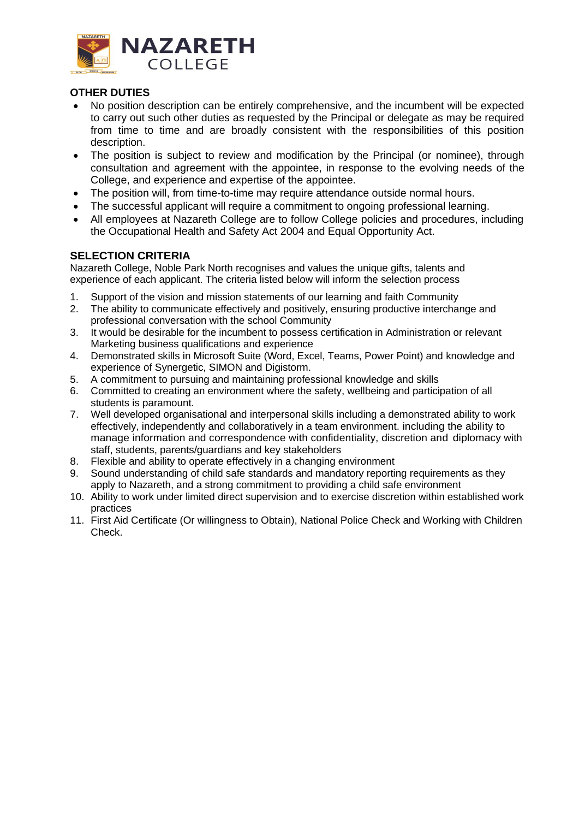

## **OTHER DUTIES**

- No position description can be entirely comprehensive, and the incumbent will be expected to carry out such other duties as requested by the Principal or delegate as may be required from time to time and are broadly consistent with the responsibilities of this position description.
- The position is subject to review and modification by the Principal (or nominee), through consultation and agreement with the appointee, in response to the evolving needs of the College, and experience and expertise of the appointee.
- The position will, from time-to-time may require attendance outside normal hours.
- The successful applicant will require a commitment to ongoing professional learning.
- All employees at Nazareth College are to follow College policies and procedures, including the Occupational Health and Safety Act 2004 and Equal Opportunity Act.

## **SELECTION CRITERIA**

Nazareth College, Noble Park North recognises and values the unique gifts, talents and experience of each applicant. The criteria listed below will inform the selection process

- 1. Support of the vision and mission statements of our learning and faith Community
- 2. The ability to communicate effectively and positively, ensuring productive interchange and professional conversation with the school Community
- 3. It would be desirable for the incumbent to possess certification in Administration or relevant Marketing business qualifications and experience
- 4. Demonstrated skills in Microsoft Suite (Word, Excel, Teams, Power Point) and knowledge and experience of Synergetic, SIMON and Digistorm.
- 5. A commitment to pursuing and maintaining professional knowledge and skills
- 6. Committed to creating an environment where the safety, wellbeing and participation of all students is paramount.
- 7. Well developed organisational and interpersonal skills including a demonstrated ability to work effectively, independently and collaboratively in a team environment. including the ability to manage information and correspondence with confidentiality, discretion and diplomacy with staff, students, parents/guardians and key stakeholders
- 8. Flexible and ability to operate effectively in a changing environment
- 9. Sound understanding of child safe standards and mandatory reporting requirements as they apply to Nazareth, and a strong commitment to providing a child safe environment
- 10. Ability to work under limited direct supervision and to exercise discretion within established work practices
- 11. First Aid Certificate (Or willingness to Obtain), National Police Check and Working with Children Check.